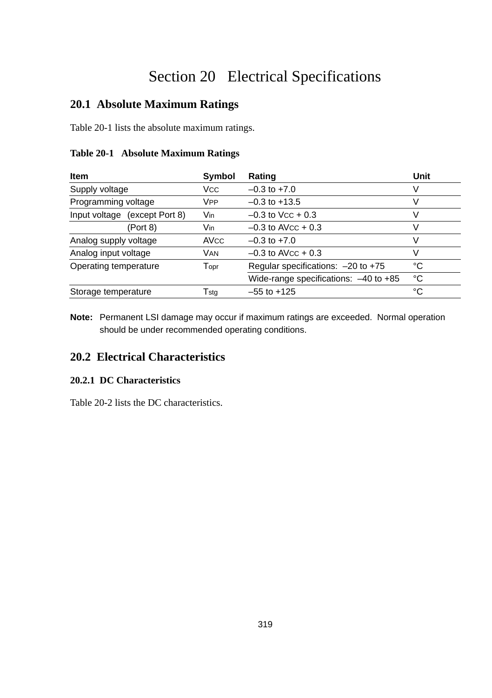# Section 20 Electrical Specifications

# **20.1 Absolute Maximum Ratings**

Table 20-1 lists the absolute maximum ratings.

#### **Table 20-1 Absolute Maximum Ratings**

| <b>Item</b>                   | Symbol                      | Rating                                    | Unit |
|-------------------------------|-----------------------------|-------------------------------------------|------|
| Supply voltage                | <b>Vcc</b>                  | $-0.3$ to $+7.0$                          | V    |
| Programming voltage           | <b>V<sub>PP</sub></b>       | $-0.3$ to $+13.5$                         | V    |
| Input voltage (except Port 8) | Vin                         | $-0.3$ to Vcc + 0.3                       | ٧    |
| (Port 8)                      | Vin                         | $-0.3$ to AVcc + 0.3                      | V    |
| Analog supply voltage         | <b>AVCC</b>                 | $-0.3$ to $+7.0$                          | V    |
| Analog input voltage          | VAN                         | $-0.3$ to AVcc + 0.3                      | v    |
| Operating temperature         | $\mathsf{T}_{\mathsf{OPT}}$ | Regular specifications: $-20$ to $+75$    | °C   |
|                               |                             | Wide-range specifications: $-40$ to $+85$ | °C   |
| Storage temperature           | Tsta                        | $-55$ to $+125$                           | °C   |

**Note:** Permanent LSI damage may occur if maximum ratings are exceeded. Normal operation should be under recommended operating conditions.

# **20.2 Electrical Characteristics**

#### **20.2.1 DC Characteristics**

Table 20-2 lists the DC characteristics.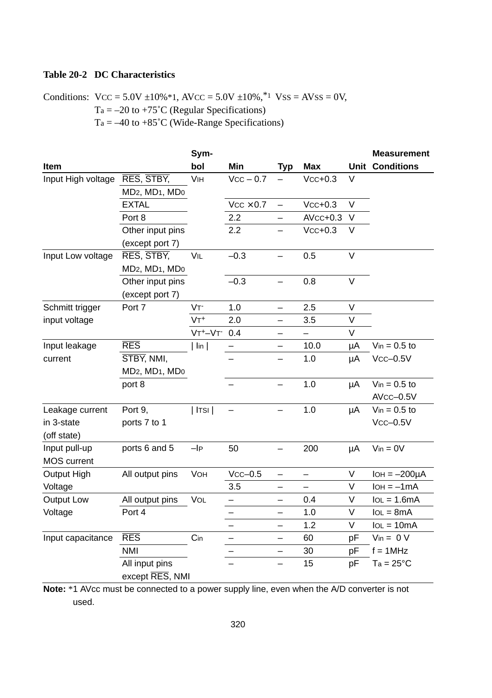## **Table 20-2 DC Characteristics**

Conditions:  $VCC = 5.0V \pm 10\% * 1$ ,  $AVCC = 5.0V \pm 10\%$ ,  $* 1$   $VSS = AVSS = 0V$ ,  $Ta = -20$  to  $+75^{\circ}C$  (Regular Specifications)  $Ta = -40$  to  $+85^{\circ}C$  (Wide-Range Specifications)

|                    |                                                     | Sym-               |                  |                          |            |        | <b>Measurement</b>     |
|--------------------|-----------------------------------------------------|--------------------|------------------|--------------------------|------------|--------|------------------------|
| Item               |                                                     | bol                | Min              | <b>Typ</b>               | <b>Max</b> |        | <b>Unit Conditions</b> |
| Input High voltage | RES, STBY,                                          | VIH                | $Vcc - 0.7$      | $\overline{\phantom{0}}$ | $Vcc+0.3$  | V      |                        |
|                    | MD <sub>2</sub> , MD <sub>1</sub> , MD <sub>0</sub> |                    |                  |                          |            |        |                        |
|                    | <b>EXTAL</b>                                        |                    | $Vcc \times 0.7$ | $\overline{\phantom{0}}$ | $Vcc+0.3$  | $\vee$ |                        |
|                    | Port 8                                              |                    | 2.2              |                          | $AVcc+0.3$ | V      |                        |
|                    | Other input pins                                    |                    | 2.2              |                          | $Vcc+0.3$  | V      |                        |
|                    | (except port 7)                                     |                    |                  |                          |            |        |                        |
| Input Low voltage  | RES, STBY,                                          | VIL                | $-0.3$           | $\overline{\phantom{0}}$ | 0.5        | $\vee$ |                        |
|                    | MD <sub>2</sub> , MD <sub>1</sub> , MD <sub>0</sub> |                    |                  |                          |            |        |                        |
|                    | Other input pins                                    |                    | $-0.3$           | $\overline{\phantom{0}}$ | 0.8        | V      |                        |
|                    | (except port 7)                                     |                    |                  |                          |            |        |                        |
| Schmitt trigger    | Port 7                                              | VT <sup>-</sup>    | 1.0              | $\overline{\phantom{0}}$ | 2.5        | V      |                        |
| input voltage      |                                                     | $VT^+$             | 2.0              | —                        | 3.5        | V      |                        |
|                    |                                                     | $VT^+ - VT^-$      | 0.4              |                          |            | $\vee$ |                        |
| Input leakage      | <b>RES</b>                                          | $  \mathsf{lin}  $ |                  |                          | 10.0       | μA     | $V_{in} = 0.5$ to      |
| current            | STBY, NMI,                                          |                    |                  |                          | 1.0        | μA     | $Vcc-0.5V$             |
|                    | MD <sub>2</sub> , MD <sub>1</sub> , MD <sub>0</sub> |                    |                  |                          |            |        |                        |
|                    | port 8                                              |                    |                  | $\overline{\phantom{0}}$ | 1.0        | μA     | $V_{in} = 0.5$ to      |
|                    |                                                     |                    |                  |                          |            |        | AVcc-0.5V              |
| Leakage current    | Port 9,                                             | $ $ Itsi $ $       |                  |                          | 1.0        | μA     | $V_{in} = 0.5$ to      |
| in 3-state         | ports 7 to 1                                        |                    |                  |                          |            |        | $Vcc-0.5V$             |
| (off state)        |                                                     |                    |                  |                          |            |        |                        |
| Input pull-up      | ports 6 and 5                                       | $-IP$              | 50               | $\overline{\phantom{0}}$ | 200        | μA     | $V$ in = $0V$          |
| <b>MOS</b> current |                                                     |                    |                  |                          |            |        |                        |
| Output High        | All output pins                                     | VOH                | $Vcc-0.5$        | —                        | —          | V      | $IOH = -200\mu A$      |
| Voltage            |                                                     |                    | 3.5              | $\overline{\phantom{0}}$ |            | $\vee$ | $IOH = -1mA$           |
| Output Low         | All output pins                                     | VOL                | —                | —                        | 0.4        | V      | $IoL = 1.6mA$          |
| Voltage            | Port 4                                              |                    |                  | $\overline{\phantom{0}}$ | 1.0        | V      | $IoL = 8mA$            |
|                    |                                                     |                    |                  | $\overline{\phantom{0}}$ | 1.2        | V      | $IoL = 10mA$           |
| Input capacitance  | <b>RES</b>                                          | Cin                |                  |                          | 60         | pF     | $V_{in} = 0 V$         |
|                    | <b>NMI</b>                                          |                    |                  | —                        | 30         | pF     | $f = 1MHz$             |
|                    | All input pins                                      |                    |                  | $\overline{\phantom{0}}$ | 15         | pF     | $Ta = 25^{\circ}C$     |
|                    | except RES, NMI                                     |                    |                  |                          |            |        |                        |

**Note:** \*1 AVcc must be connected to a power supply line, even when the A/D converter is not used.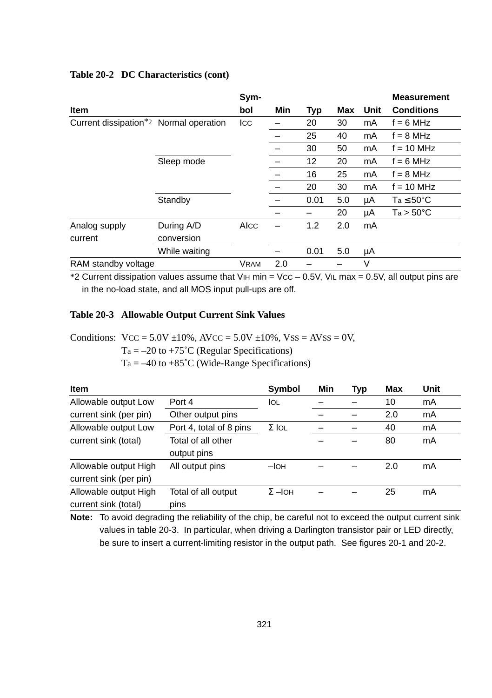|                                        |               | Sym-        |     |      |     |      | <b>Measurement</b>    |
|----------------------------------------|---------------|-------------|-----|------|-----|------|-----------------------|
| <b>Item</b>                            |               | bol         | Min | Typ  | Max | Unit | <b>Conditions</b>     |
| Current dissipation*2 Normal operation |               | Icc         |     | 20   | 30  | mA   | $f = 6 MHz$           |
|                                        |               |             |     | 25   | 40  | mA   | $f = 8 MHz$           |
|                                        |               |             |     | 30   | 50  | mA   | $f = 10$ MHz          |
|                                        | Sleep mode    |             |     | 12   | 20  | mA   | $f = 6$ MHz           |
|                                        |               |             |     | 16   | 25  | mA   | $f = 8 MHz$           |
|                                        |               |             |     | 20   | 30  | mA   | $f = 10$ MHz          |
|                                        | Standby       |             |     | 0.01 | 5.0 | μA   | $Ta \leq 50^{\circ}C$ |
|                                        |               |             |     |      | 20  | μA   | $Ta > 50^{\circ}C$    |
| Analog supply                          | During A/D    | AIcc        |     | 1.2  | 2.0 | mA   |                       |
| current                                | conversion    |             |     |      |     |      |                       |
|                                        | While waiting |             |     | 0.01 | 5.0 | μA   |                       |
| RAM standby voltage                    |               | <b>VRAM</b> | 2.0 |      |     | V    |                       |

#### **Table 20-2 DC Characteristics (cont)**

\*2 Current dissipation values assume that VIH min = VCC – 0.5V, VIL max = 0.5V, all output pins are in the no-load state, and all MOS input pull-ups are off.

#### **Table 20-3 Allowable Output Current Sink Values**

Conditions:  $VCC = 5.0V \pm 10\%$ ,  $AVCC = 5.0V \pm 10\%$ ,  $VSS = AVSS = 0V$ ,

 $Ta = -20$  to  $+75^{\circ}C$  (Regular Specifications)

 $Ta = -40$  to  $+85^{\circ}C$  (Wide-Range Specifications)

| <b>Item</b>            |                         | Symbol        | Min | Typ | Max | Unit |
|------------------------|-------------------------|---------------|-----|-----|-----|------|
| Allowable output Low   | Port 4                  | lol           |     |     | 10  | mA   |
| current sink (per pin) | Other output pins       |               |     |     | 2.0 | mA   |
| Allowable output Low   | Port 4, total of 8 pins | $\Sigma$ IOL  |     |     | 40  | mA   |
| current sink (total)   | Total of all other      |               |     |     | 80  | mA   |
|                        | output pins             |               |     |     |     |      |
| Allowable output High  | All output pins         | $-IOH$        |     |     | 2.0 | mA   |
| current sink (per pin) |                         |               |     |     |     |      |
| Allowable output High  | Total of all output     | $\Sigma$ -loh |     |     | 25  | mA   |
| current sink (total)   | pins                    |               |     |     |     |      |

**Note:** To avoid degrading the reliability of the chip, be careful not to exceed the output current sink values in table 20-3. In particular, when driving a Darlington transistor pair or LED directly, be sure to insert a current-limiting resistor in the output path. See figures 20-1 and 20-2.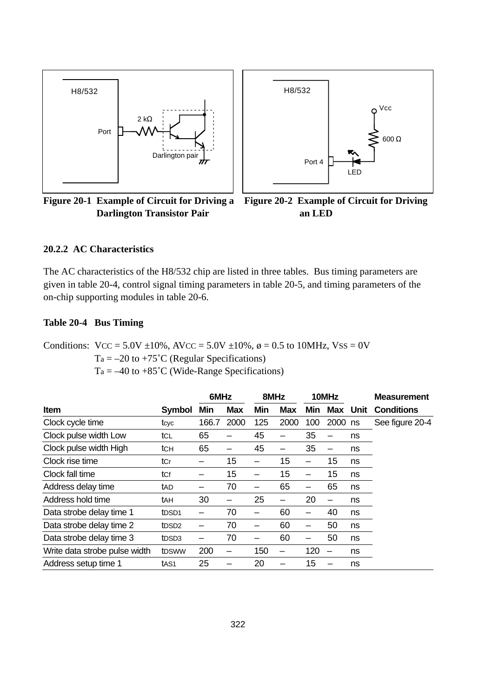



**Figure 20-1 Example of Circuit for Driving a Figure 20-2 Example of Circuit for Driving Darlington Transistor Pair**

**an LED**

#### **20.2.2 AC Characteristics**

The AC characteristics of the H8/532 chip are listed in three tables. Bus timing parameters are given in table 20-4, control signal timing parameters in table 20-5, and timing parameters of the on-chip supporting modules in table 20-6.

#### **Table 20-4 Bus Timing**

Conditions:  $VCC = 5.0V \pm 10\%$ ,  $AVCC = 5.0V \pm 10\%$ ,  $\phi = 0.5$  to 10MHz,  $VSS = 0V$ 

 $Ta = -20$  to  $+75^{\circ}C$  (Regular Specifications)

 $Ta = -40$  to  $+85^{\circ}$ C (Wide-Range Specifications)

|                               |                    | 6MHz  |            | 8MHz |      | 10MHz |         |          | <b>Measurement</b> |
|-------------------------------|--------------------|-------|------------|------|------|-------|---------|----------|--------------------|
| <b>Item</b>                   | Symbol             | Min   | <b>Max</b> | Min  | Max  | Min   |         | Max Unit | <b>Conditions</b>  |
| Clock cycle time              | tcyc               | 166.7 | 2000       | 125  | 2000 | 100   | 2000 ns |          | See figure 20-4    |
| Clock pulse width Low         | tcl                | 65    |            | 45   |      | 35    |         | ns       |                    |
| Clock pulse width High        | tch                | 65    |            | 45   |      | 35    |         | ns       |                    |
| Clock rise time               | tCr                | -     | 15         |      | 15   |       | 15      | ns       |                    |
| Clock fall time               | tcf                |       | 15         |      | 15   |       | 15      | ns       |                    |
| Address delay time            | tad                |       | 70         |      | 65   |       | 65      | ns       |                    |
| Address hold time             | tан                | 30    |            | 25   | -    | 20    |         | ns       |                    |
| Data strobe delay time 1      | t <sub>DSD1</sub>  | -     | 70         |      | 60   |       | 40      | ns       |                    |
| Data strobe delay time 2      | tDSD <sub>2</sub>  |       | 70         |      | 60   |       | 50      | ns       |                    |
| Data strobe delay time 3      | tDSD3              |       | 70         |      | 60   |       | 50      | ns       |                    |
| Write data strobe pulse width | t <sub>D</sub> sww | 200   |            | 150  | -    | 120   |         | ns       |                    |
| Address setup time 1          | tAS <sub>1</sub>   | 25    |            | 20   |      | 15    |         | ns       |                    |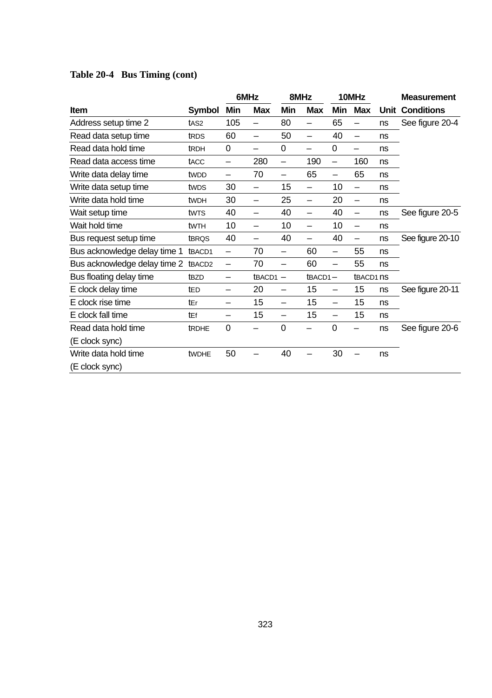|                              |                    | 6MHz |            | 8MHz                     |                          | 10MHz                    |                          |      | <b>Measurement</b> |
|------------------------------|--------------------|------|------------|--------------------------|--------------------------|--------------------------|--------------------------|------|--------------------|
| <b>Item</b>                  | Symbol             | Min  | <b>Max</b> | Min                      | <b>Max</b>               | Min                      | <b>Max</b>               | Unit | <b>Conditions</b>  |
| Address setup time 2         | tAS <sub>2</sub>   | 105  |            | 80                       | $\overline{\phantom{0}}$ | 65                       |                          | ns   | See figure 20-4    |
| Read data setup time         | tRDS               | 60   | —          | 50                       | $\overline{\phantom{0}}$ | 40                       | $\overline{\phantom{0}}$ | ns   |                    |
| Read data hold time          | tRDH               | 0    |            | 0                        | $\overline{\phantom{0}}$ | 0                        | —                        | ns   |                    |
| Read data access time        | tACC               | —    | 280        |                          | 190                      |                          | 160                      | ns   |                    |
| Write data delay time        | tw <sub>DD</sub>   | —    | 70         | —                        | 65                       | $\overline{\phantom{0}}$ | 65                       | ns   |                    |
| Write data setup time        | twps               | 30   | —          | 15                       |                          | 10                       | $\overline{\phantom{0}}$ | ns   |                    |
| Write data hold time         | tw <sub>DH</sub>   | 30   | —          | 25                       | —                        | 20                       |                          | ns   |                    |
| Wait setup time              | twrs               | 40   | —          | 40                       |                          | 40                       | $\overline{\phantom{m}}$ | ns   | See figure 20-5    |
| Wait hold time               | twtH               | 10   | —          | 10                       | —                        | 10                       | $\overline{\phantom{0}}$ | ns   |                    |
| Bus request setup time       | tBRQS              | 40   | —          | 40                       |                          | 40                       | $\overline{\phantom{0}}$ | ns   | See figure 20-10   |
| Bus acknowledge delay time 1 | tBACD1             | —    | 70         |                          | 60                       |                          | 55                       | ns   |                    |
| Bus acknowledge delay time 2 | tBACD <sub>2</sub> | —    | 70         | —                        | 60                       | $\overline{\phantom{0}}$ | 55                       | ns   |                    |
| Bus floating delay time      | t <sub>BZD</sub>   | —    | tBACD1-    |                          | $t$ BACD1 $-$            |                          | tBACD1 nS                |      |                    |
| E clock delay time           | tED                | —    | 20         |                          | 15                       | $\overline{\phantom{0}}$ | 15                       | ns   | See figure 20-11   |
| E clock rise time            | tEr                | —    | 15         |                          | 15                       | $\overline{\phantom{0}}$ | 15                       | ns   |                    |
| E clock fall time            | tEf                | —    | 15         | $\overline{\phantom{0}}$ | 15                       |                          | 15                       | ns   |                    |
| Read data hold time          | <b>tRDHE</b>       | 0    |            | $\Omega$                 |                          | 0                        |                          | ns   | See figure 20-6    |
| (E clock sync)               |                    |      |            |                          |                          |                          |                          |      |                    |
| Write data hold time         | tWDHE              | 50   |            | 40                       |                          | 30                       |                          | ns   |                    |
| (E clock sync)               |                    |      |            |                          |                          |                          |                          |      |                    |

# **Table 20-4 Bus Timing (cont)**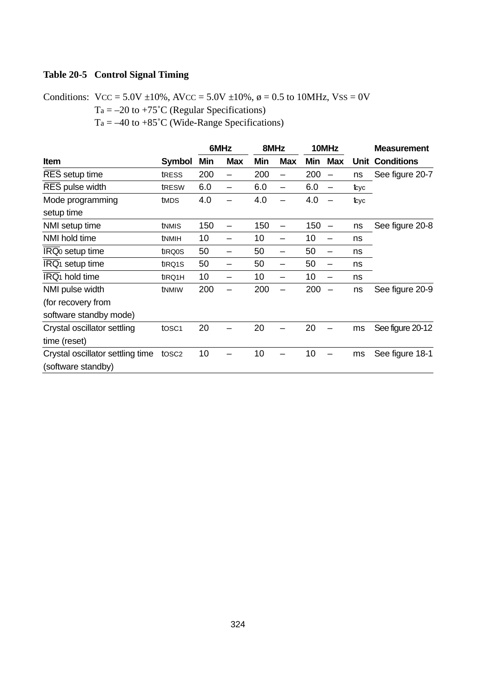# **Table 20-5 Control Signal Timing**

Conditions:  $VCC = 5.0V \pm 10\%$ ,  $AVCC = 5.0V \pm 10\%$ ,  $\phi = 0.5$  to 10MHz,  $VSS = 0V$ 

 $Ta = -20$  to  $+75^{\circ}C$  (Regular Specifications)

 $Ta = -40$  to  $+85^{\circ}C$  (Wide-Range Specifications)

|                                  |                     |     | 6MHz       | 8MHz |                          | 10MHz |            |      | <b>Measurement</b>     |  |
|----------------------------------|---------------------|-----|------------|------|--------------------------|-------|------------|------|------------------------|--|
| <b>Item</b>                      | Symbol              | Min | <b>Max</b> | Min  | <b>Max</b>               | Min   | <b>Max</b> |      | <b>Unit Conditions</b> |  |
| RES setup time                   | tress               | 200 |            | 200  | —                        | 200   |            | ns   | See figure 20-7        |  |
| RES pulse width                  | tRESW               | 6.0 |            | 6.0  | $\overline{\phantom{0}}$ | 6.0   |            | tcyc |                        |  |
| Mode programming                 | tMDS                | 4.0 |            | 4.0  |                          | 4.0   |            | tcyc |                        |  |
| setup time                       |                     |     |            |      |                          |       |            |      |                        |  |
| NMI setup time                   | tnmis               | 150 |            | 150  |                          | 150   |            | ns   | See figure 20-8        |  |
| NMI hold time                    | tNMIH               | 10  |            | 10   | -                        | 10    |            | ns   |                        |  |
| IRQ0 setup time                  | t <sub>IRQ0</sub> S | 50  |            | 50   | -                        | 50    |            | ns   |                        |  |
| IRQ <sub>1</sub> setup time      | t <sub>IRQ1</sub> S | 50  |            | 50   | -                        | 50    |            | ns   |                        |  |
| IRQ <sub>1</sub> hold time       | t <sub>IRQ1</sub> H | 10  |            | 10   | -                        | 10    |            | ns   |                        |  |
| NMI pulse width                  | tNMIW               | 200 |            | 200  |                          | 200   |            | ns   | See figure 20-9        |  |
| (for recovery from               |                     |     |            |      |                          |       |            |      |                        |  |
| software standby mode)           |                     |     |            |      |                          |       |            |      |                        |  |
| Crystal oscillator settling      | tosc <sub>1</sub>   | 20  |            | 20   |                          | 20    |            | ms   | See figure 20-12       |  |
| time (reset)                     |                     |     |            |      |                          |       |            |      |                        |  |
| Crystal oscillator settling time | tosc <sub>2</sub>   | 10  |            | 10   |                          | 10    |            | ms   | See figure 18-1        |  |
| (software standby)               |                     |     |            |      |                          |       |            |      |                        |  |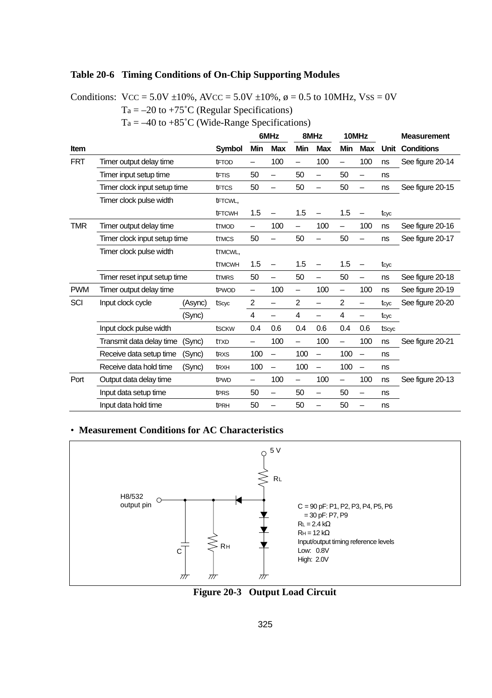#### **Table 20-6 Timing Conditions of On-Chip Supporting Modules**

Conditions:  $VCC = 5.0V \pm 10\%$ ,  $AVCC = 5.0V \pm 10\%$ ,  $\phi = 0.5$  to 10MHz,  $VSS = 0V$ 

 $Ta = -20$  to  $+75^{\circ}C$  (Regular Specifications)

 $Ta = -40$  to  $+85^{\circ}C$  (Wide-Range Specifications)

|            |                              |         |                               |                          | 6MHz                     |                          | 8MHz                     |                          | 10MHz                    |       | <b>Measurement</b> |
|------------|------------------------------|---------|-------------------------------|--------------------------|--------------------------|--------------------------|--------------------------|--------------------------|--------------------------|-------|--------------------|
| Item       |                              |         | Symbol                        | Min                      | <b>Max</b>               | Min                      | <b>Max</b>               | Min                      | <b>Max</b>               | Unit  | <b>Conditions</b>  |
| <b>FRT</b> | Timer output delay time      |         | tFTOD                         | -                        | 100                      | $\overline{\phantom{0}}$ | 100                      | $\overline{\phantom{0}}$ | 100                      | ns    | See figure 20-14   |
|            | Timer input setup time       |         | <b>tFTIS</b>                  | 50                       |                          | 50                       |                          | 50                       | -                        | ns    |                    |
|            | Timer clock input setup time |         | <b>tFTCS</b>                  | 50                       | -                        | 50                       | $\overline{\phantom{0}}$ | 50                       | $\overline{\phantom{0}}$ | ns    | See figure 20-15   |
|            | Timer clock pulse width      |         | tFTCWL,                       |                          |                          |                          |                          |                          |                          |       |                    |
|            |                              |         | <b>tFTCWH</b>                 | 1.5                      | -                        | 1.5                      | $\overline{\phantom{0}}$ | 1.5                      | -                        | tcyc  |                    |
| <b>TMR</b> | Timer output delay time      |         | <b>tTMOD</b>                  | -                        | 100                      | $\overline{\phantom{0}}$ | 100                      | $\overline{\phantom{m}}$ | 100                      | ns    | See figure 20-16   |
|            | Timer clock input setup time |         | <b>tTMCS</b>                  | 50                       |                          | 50                       |                          | 50                       | -                        | ns    | See figure 20-17   |
|            | Timer clock pulse width      |         | <b>tTMCWL,</b>                |                          |                          |                          |                          |                          |                          |       |                    |
|            |                              |         | <b>tTMCWH</b>                 | 1.5                      |                          | 1.5                      | -                        | 1.5                      | $\overline{\phantom{0}}$ | tcyc  |                    |
|            | Timer reset input setup time |         | <b>tTMRS</b>                  | 50                       | -                        | 50                       | $\overline{\phantom{0}}$ | 50                       | $\overline{\phantom{0}}$ | ns    | See figure 20-18   |
| <b>PWM</b> | Timer output delay time      |         | t <sub>P</sub> wop            | $\overline{\phantom{0}}$ | 100                      | $\overline{\phantom{0}}$ | 100                      | $\overline{\phantom{0}}$ | 100                      | ns    | See figure 20-19   |
| SCI        | Input clock cycle            | (Async) | tScyc                         | 2                        | $\overline{\phantom{0}}$ | $\overline{2}$           | $\overline{\phantom{0}}$ | $\overline{2}$           | -                        | tcyc  | See figure 20-20   |
|            |                              | (Sync)  |                               | 4                        | -                        | 4                        | $\overline{\phantom{0}}$ | 4                        | -                        | tcyc  |                    |
|            | Input clock pulse width      |         | tsckw                         | 0.4                      | 0.6                      | 0.4                      | 0.6                      | 0.4                      | 0.6                      | tScyc |                    |
|            | Transmit data delay time     | (Sync)  | ttxd                          | -                        | 100                      | $\overline{\phantom{0}}$ | 100                      | $\overline{\phantom{0}}$ | 100                      | ns    | See figure 20-21   |
|            | Receive data setup time      | (Sync)  | t <sub>R</sub> x <sub>S</sub> | 100                      | -                        | 100                      | $\overline{\phantom{0}}$ | 100                      | $\overline{\phantom{0}}$ | ns    |                    |
|            | Receive data hold time       | (Sync)  | t <sub>RXH</sub>              | 100                      | $\overline{\phantom{0}}$ | 100                      | $\overline{\phantom{0}}$ | 100                      | $\overline{\phantom{0}}$ | ns    |                    |
| Port       | Output data delay time       |         | t <sub>PWD</sub>              | -                        | 100                      | -                        | 100                      | $\qquad \qquad -$        | 100                      | ns    | See figure 20-13   |
|            | Input data setup time        |         | t <sub>PRS</sub>              | 50                       | -                        | 50                       | $\overline{\phantom{0}}$ | 50                       | -                        | ns    |                    |
|            | Input data hold time         |         | t <sub>PRH</sub>              | 50                       |                          | 50                       |                          | 50                       | -                        | ns    |                    |

#### • **Measurement Conditions for AC Characteristics**



**Figure 20-3 Output Load Circuit**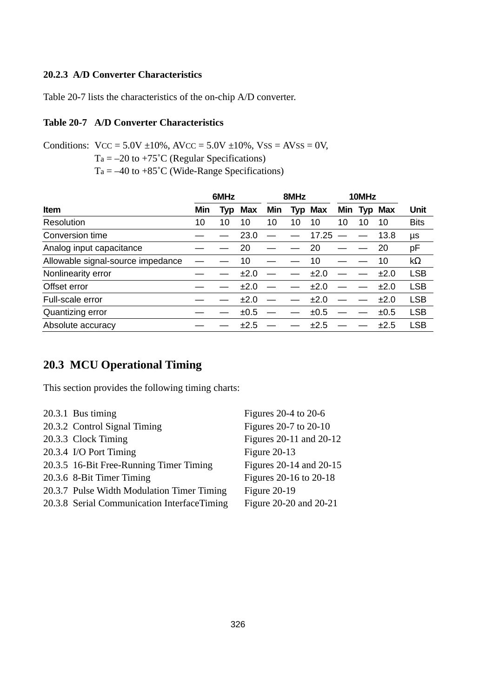#### **20.2.3 A/D Converter Characteristics**

Table 20-7 lists the characteristics of the on-chip A/D converter.

#### **Table 20-7 A/D Converter Characteristics**

Conditions:  $VCC = 5.0V \pm 10\%$ ,  $AVCC = 5.0V \pm 10\%$ ,  $VSS = AVSS = 0V$ ,

 $Ta = -20$  to  $+75^{\circ}C$  (Regular Specifications)

 $Ta = -40$  to  $+85^{\circ}C$  (Wide-Range Specifications)

|                                   |     | 6MHz |      |     | 8MHz |         |     | 10MHz |         |             |
|-----------------------------------|-----|------|------|-----|------|---------|-----|-------|---------|-------------|
| Item                              | Min | Tvp  | Max  | Min |      | Typ Max | Min |       | Typ Max | Unit        |
| Resolution                        | 10  | 10   | 10   | 10  | 10   | 10      | 10  | 10    | 10      | <b>Bits</b> |
| Conversion time                   |     |      | 23.0 |     |      | 17.25   |     |       | 13.8    | μs          |
| Analog input capacitance          |     |      | 20   |     |      | 20      |     |       | 20      | рF          |
| Allowable signal-source impedance |     |      | 10   |     |      | 10      |     |       | 10      | $k\Omega$   |
| Nonlinearity error                |     |      | ±2.0 |     |      | ±2.0    |     |       | ±2.0    | <b>LSB</b>  |
| Offset error                      |     |      | ±2.0 |     |      | ±2.0    |     |       | ±2.0    | <b>LSB</b>  |
| Full-scale error                  |     |      | ±2.0 |     |      | ±2.0    |     |       | ±2.0    | <b>LSB</b>  |
| Quantizing error                  |     |      | ±0.5 |     |      | ±0.5    |     |       | ±0.5    | <b>LSB</b>  |
| Absolute accuracy                 |     |      | ±2.5 |     |      | ±2.5    |     |       | ±2.5    | LSB         |

# **20.3 MCU Operational Timing**

This section provides the following timing charts:

| 20.3.1 Bus timing                           | Figures 20-4 to 20-6    |
|---------------------------------------------|-------------------------|
| 20.3.2 Control Signal Timing                | Figures 20-7 to 20-10   |
| 20.3.3 Clock Timing                         | Figures 20-11 and 20-12 |
| 20.3.4 I/O Port Timing                      | Figure 20-13            |
| 20.3.5 16-Bit Free-Running Timer Timing     | Figures 20-14 and 20-15 |
| 20.3.6 8-Bit Timer Timing                   | Figures 20-16 to 20-18  |
| 20.3.7 Pulse Width Modulation Timer Timing  | Figure 20-19            |
| 20.3.8 Serial Communication InterfaceTiming | Figure 20-20 and 20-21  |
|                                             |                         |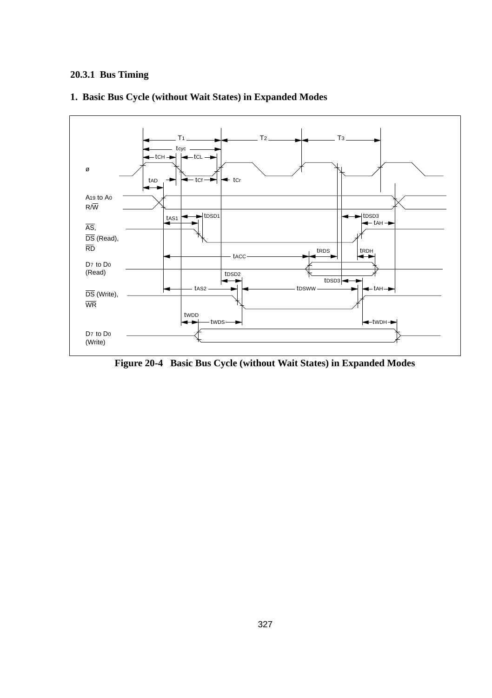### **20.3.1 Bus Timing**



#### **1. Basic Bus Cycle (without Wait States) in Expanded Modes**

**Figure 20-4 Basic Bus Cycle (without Wait States) in Expanded Modes**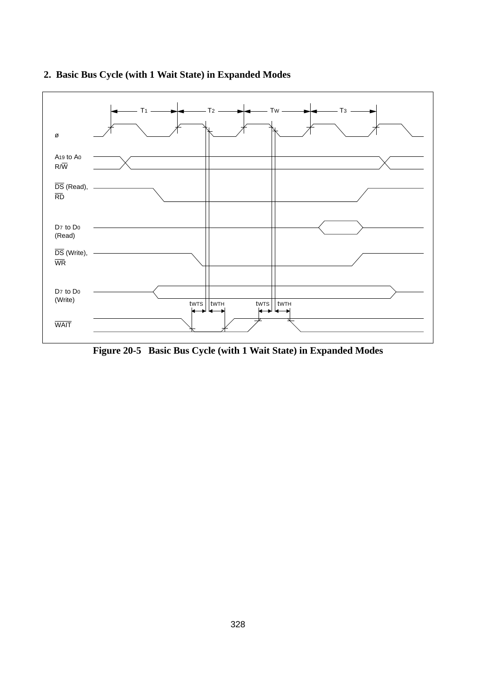



**Figure 20-5 Basic Bus Cycle (with 1 Wait State) in Expanded Modes**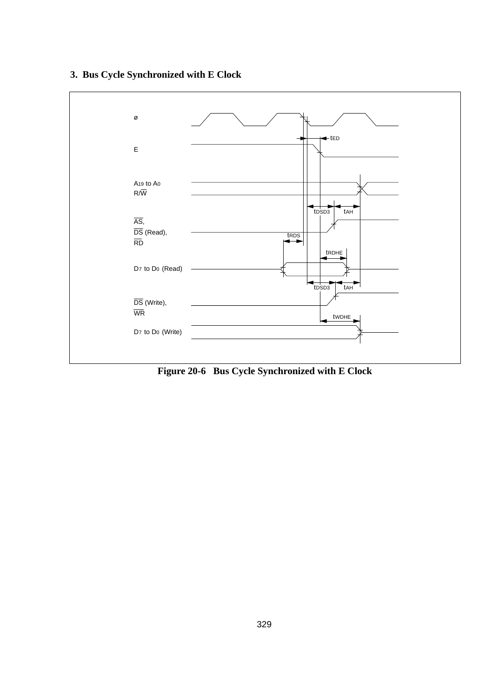# **3. Bus Cycle Synchronized with E Clock**



**Figure 20-6 Bus Cycle Synchronized with E Clock**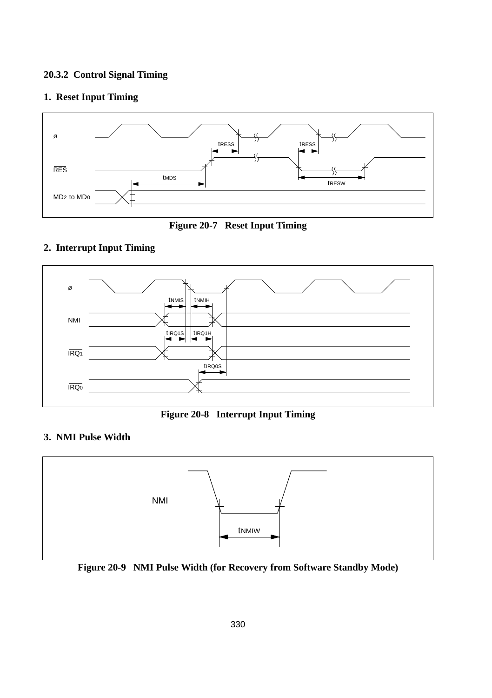#### **20.3.2 Control Signal Timing**

#### **1. Reset Input Timing**





#### **2. Interrupt Input Timing**



**Figure 20-8 Interrupt Input Timing**

#### **3. NMI Pulse Width**



**Figure 20-9 NMI Pulse Width (for Recovery from Software Standby Mode)**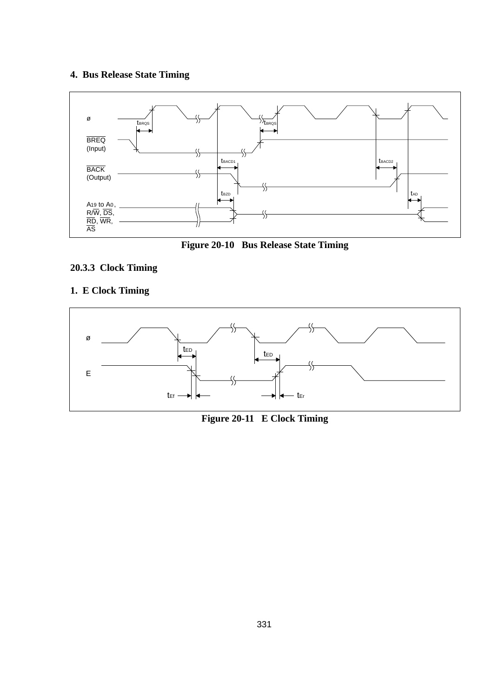# **4. Bus Release State Timing**





# **20.3.3 Clock Timing**

# **1. E Clock Timing**



**Figure 20-11 E Clock Timing**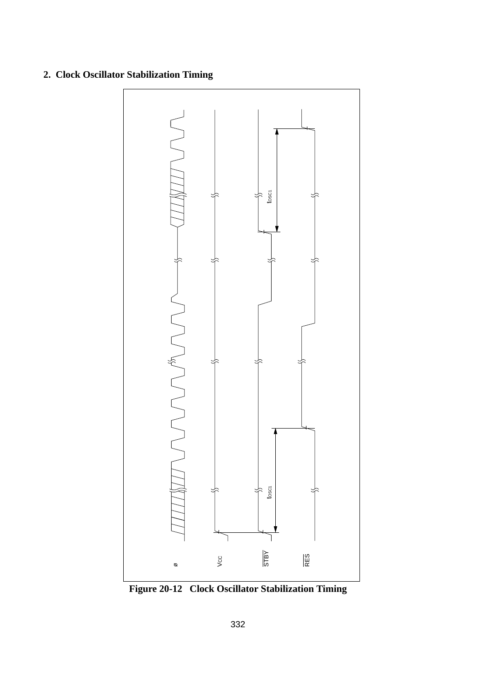# **2. Clock Oscillator Stabilization Timing**



**Figure 20-12 Clock Oscillator Stabilization Timing**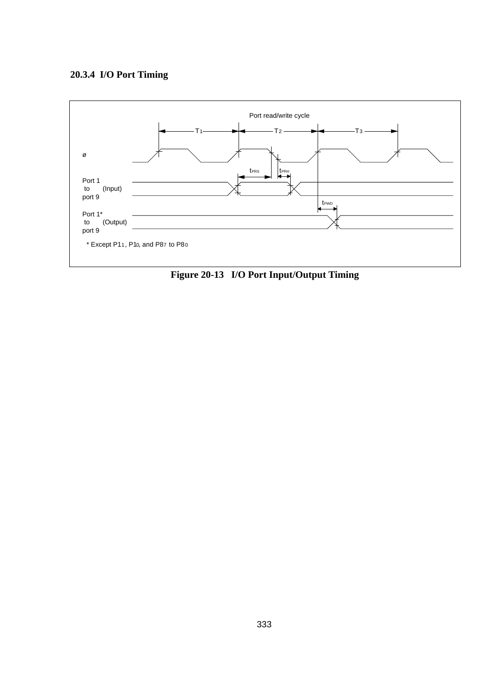

Fig. 20-13 **Figure 20-13 I/O Port Input/Output Timing**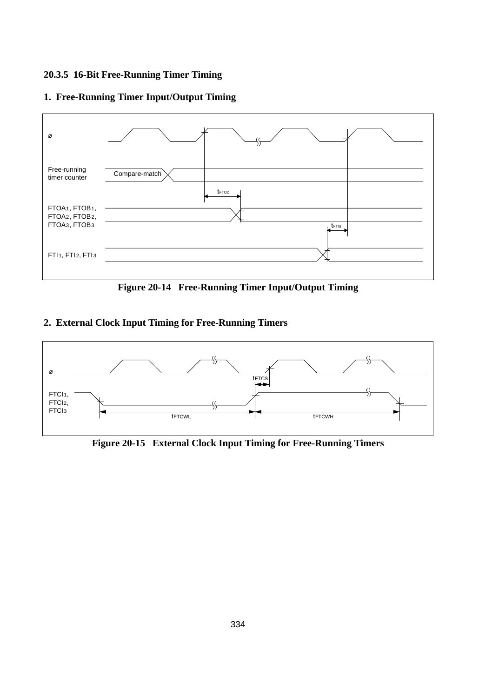#### **20.3.5 16-Bit Free-Running Timer Timing**





**Figure 20-14 Free-Running Timer Input/Output Timing**

#### **2. External Clock Input Timing for Free-Running Timers**



**Figure 20-15 External Clock Input Timing for Free-Running Timers**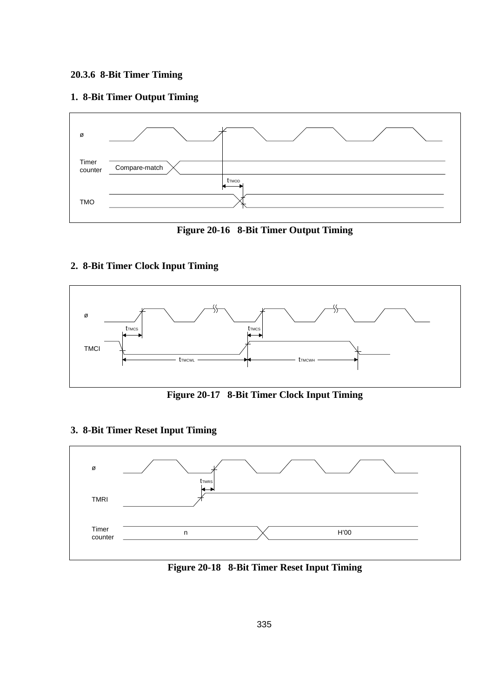# **20.3.6 8-Bit Timer Timing**

#### **1. 8-Bit Timer Output Timing**



**Figure 20-16 8-Bit Timer Output Timing**

#### **2. 8-Bit Timer Clock Input Timing**



**Figure 20-17 8-Bit Timer Clock Input Timing**

#### **3. 8-Bit Timer Reset Input Timing**



**Figure 20-18 8-Bit Timer Reset Input Timing**